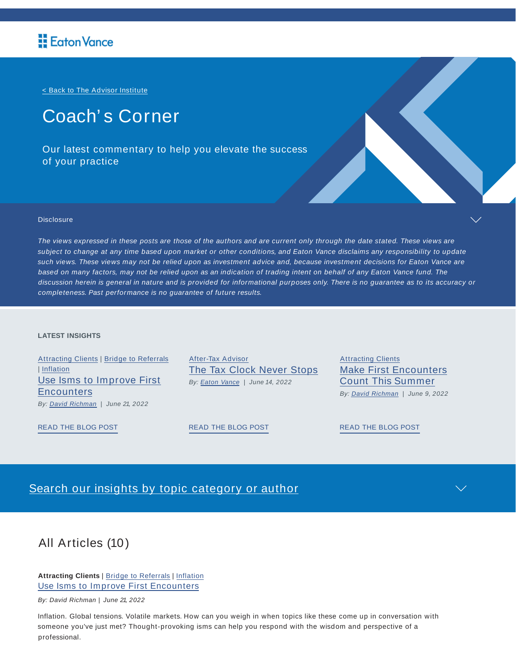< Back to The Advisor Institute

# Coach' s Corner

Our latest commentary to help you elevate the success of your practice



#### **Disclosure**

The views expressed in these posts are those of the authors and are current only through the date stated. These views are subject to change at any time based upon market or other conditions, and Eaton Vance disclaims any responsibility to update such views. These views may not be relied upon as investment advice and, because investment decisions for Eaton Vance are based on many factors, may not be relied upon as an indication of trading intent on behalf of any Eaton Vance fund. The discussion herein is general in nature and is provided for informational purposes only. There is no guarantee as to its accuracy or completeness. Past performance is no guarantee of future results.

#### **LATEST INSIGHTS**

Attracting Clients | Bridge to Referrals | Inflation Use Isms to Improve First **Encounters** By: **David Richman** | June 21, 2022

After-Tax Advisor The Tax Clock Never Stops By: **Eaton Vance** | June 14, 2022

**Attracting Clients** Make First Encounters Count This Summer By: David Richman | June 9, 2022

READ THE BLOG POST

READ THE BLOG POST

READ THE BLOG POST

## Search our insights by topic category or author

# All Articles (10)

**Attracting Clients** | Bridge to Referrals | Inflation Use Isms to Improve First Encounters

By: David Richman | June 21, 2022

Inflation. Global tensions. Volatile markets. How can you weigh in when topics like these come up in conversation with someone you've just met? Thought-provoking isms can help you respond with the wisdom and perspective of a professional.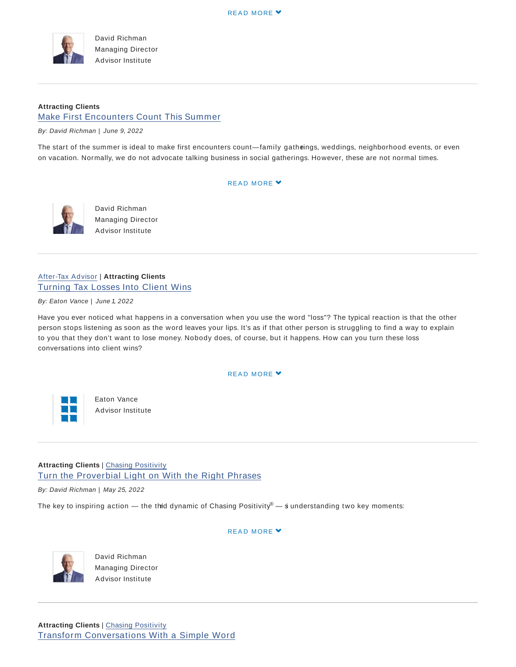

David Richman Managing Director Advisor Institute

## **Attracting Clients** Make First Encounters Count This Summer

By: David Richman | June 9, 2022

The start of the summer is ideal to make first encounters count—family gatheings, weddings, neighborhood events, or even on vacation. Normally, we do not advocate talking business in social gatherings. However, these are not normal times.

#### READ MORE Y



David Richman Managing Director Advisor Institute

## After-Tax Advisor | **Attracting Clients** Turning Tax Losses Into Client Wins

By: Eaton Vance | June 1, 2022

Have you ever noticed what happens in a conversation when you use the word "loss"? The typical reaction is that the other person stops listening as soon as the word leaves your lips. It's as if that other person is struggling to find a way to explain to you that they don't want to lose money. Nobody does, of course, but it happens. How can you turn these loss conversations into client wins?

#### READ MORE Y



Eaton Vance Advisor Institute

## **Attracting Clients** | Chasing Positivity Turn the Proverbial Light on With the Right Phrases

By: David Richman | May 25, 2022

The key to inspiring action — the thid dynamic of Chasing Positivity $^\circ$  —  $\dot{\rm s}$  understanding two key moments:

#### READ MORE Y



David Richman Managing Director Advisor Institute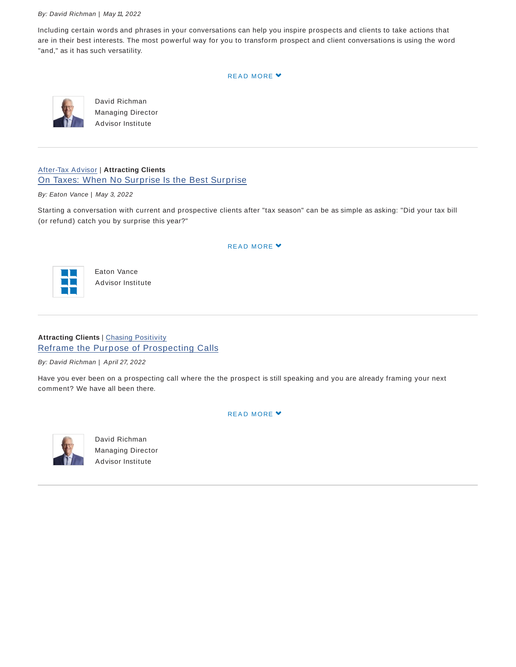#### By: David Richman | May 11, 2022

Including certain words and phrases in your conversations can help you inspire prospects and clients to take actions that are in their best interests. The most powerful way for you to transform prospect and client conversations is using the word "and," as it has such versatility.

READ MORE Y



David Richman Managing Director Advisor Institute

After-Tax Advisor | **Attracting Clients** On Taxes: When No Surprise Is the Best Surprise

By: Eaton Vance | May 3, 2022

Starting a conversation with current and prospective clients after "tax season" can be as simple as asking: "Did your tax bill (or refund) catch you by surprise this year?"

#### READ MORE Y



Eaton Vance Advisor Institute

## **Attracting Clients** | Chasing Positivity Reframe the Purpose of Prospecting Calls

By: David Richman | April 27, 2022

Have you ever been on a prospecting call where the the prospect is still speaking and you are already framing your next comment? We have all been there.



David Richman Managing Director Advisor Institute

READ MORE Y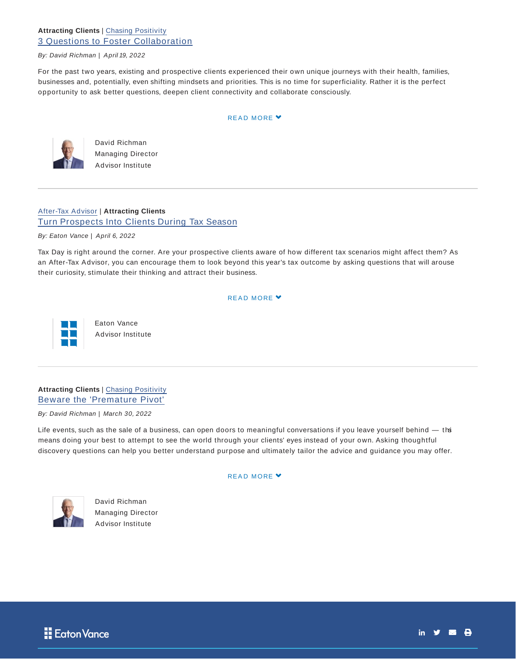## **Attracting Clients** | Chasing Positivity 3 Questions to Foster Collaboration

#### By: David Richman | April 19, 2022

For the past two years, existing and prospective clients experienced their own unique journeys with their health, families, businesses and, potentially, even shifting mindsets and priorities. This is no time for superficiality. Rather it is the perfect opportunity to ask better questions, deepen client connectivity and collaborate consciously.

#### READ MORE Y



David Richman Managing Director Advisor Institute

## After-Tax Advisor | **Attracting Clients** Turn Prospects Into Clients During Tax Season

By: Eaton Vance | April 6, 2022

Tax Day is right around the corner. Are your prospective clients aware of how different tax scenarios might affect them? As an After-Tax Advisor, you can encourage them to look beyond this year's tax outcome by asking questions that will arouse their curiosity, stimulate their thinking and attract their business.

#### READ MORE Y



Eaton Vance Advisor Institute

## **Attracting Clients** | Chasing Positivity Beware the 'Premature Pivot'

By: David Richman | March 30, 2022

Life events, such as the sale of a business, can open doors to meaningful conversations if you leave yourself behind  $-$  ths means doing your best to attempt to see the world through your clients' eyes instead of your own. Asking thoughtful discovery questions can help you better understand purpose and ultimately tailor the advice and guidance you may offer.



David Richman Managing Director Advisor Institute

#### READ MORE Y